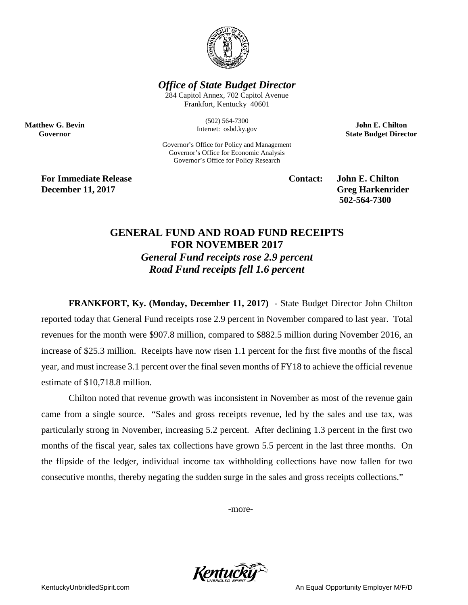

## *Office of State Budget Director*

284 Capitol Annex, 702 Capitol Avenue Frankfort, Kentucky 40601

> (502) 564-7300 Internet: osbd.ky.gov

Governor's Office for Policy and Management Governor's Office for Economic Analysis Governor's Office for Policy Research

**John E. Chilton State Budget Director**

**For Immediate Release Contact: John E. Chilton December 11, 2017** Greg Harkenrider

**Matthew G. Bevin Governor**

**502-564-7300** 

## **GENERAL FUND AND ROAD FUND RECEIPTS FOR NOVEMBER 2017** *General Fund receipts rose 2.9 percent Road Fund receipts fell 1.6 percent*

**FRANKFORT, Ky. (Monday, December 11, 2017)** - State Budget Director John Chilton reported today that General Fund receipts rose 2.9 percent in November compared to last year. Total revenues for the month were \$907.8 million, compared to \$882.5 million during November 2016, an increase of \$25.3 million. Receipts have now risen 1.1 percent for the first five months of the fiscal year, and must increase 3.1 percent over the final seven months of FY18 to achieve the official revenue estimate of \$10,718.8 million.

Chilton noted that revenue growth was inconsistent in November as most of the revenue gain came from a single source. "Sales and gross receipts revenue, led by the sales and use tax, was particularly strong in November, increasing 5.2 percent. After declining 1.3 percent in the first two months of the fiscal year, sales tax collections have grown 5.5 percent in the last three months. On the flipside of the ledger, individual income tax withholding collections have now fallen for two consecutive months, thereby negating the sudden surge in the sales and gross receipts collections."

-more-

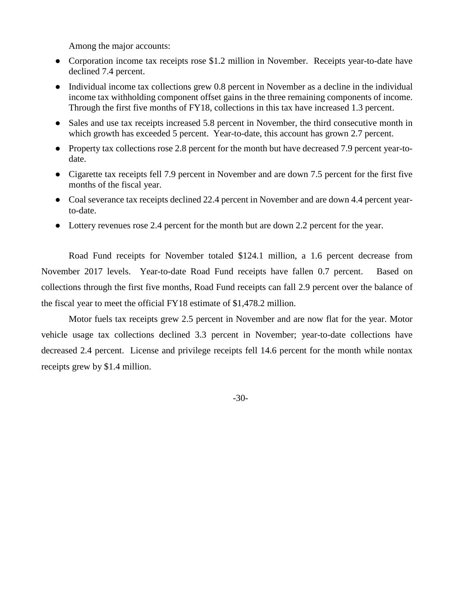Among the major accounts:

- Corporation income tax receipts rose \$1.2 million in November. Receipts year-to-date have declined 7.4 percent.
- Individual income tax collections grew 0.8 percent in November as a decline in the individual income tax withholding component offset gains in the three remaining components of income. Through the first five months of FY18, collections in this tax have increased 1.3 percent.
- Sales and use tax receipts increased 5.8 percent in November, the third consecutive month in which growth has exceeded 5 percent. Year-to-date, this account has grown 2.7 percent.
- Property tax collections rose 2.8 percent for the month but have decreased 7.9 percent year-todate.
- Cigarette tax receipts fell 7.9 percent in November and are down 7.5 percent for the first five months of the fiscal year.
- Coal severance tax receipts declined 22.4 percent in November and are down 4.4 percent yearto-date.
- Lottery revenues rose 2.4 percent for the month but are down 2.2 percent for the year.

Road Fund receipts for November totaled \$124.1 million, a 1.6 percent decrease from November 2017 levels. Year-to-date Road Fund receipts have fallen 0.7 percent. Based on collections through the first five months, Road Fund receipts can fall 2.9 percent over the balance of the fiscal year to meet the official FY18 estimate of \$1,478.2 million.

Motor fuels tax receipts grew 2.5 percent in November and are now flat for the year. Motor vehicle usage tax collections declined 3.3 percent in November; year-to-date collections have decreased 2.4 percent. License and privilege receipts fell 14.6 percent for the month while nontax receipts grew by \$1.4 million.

-30-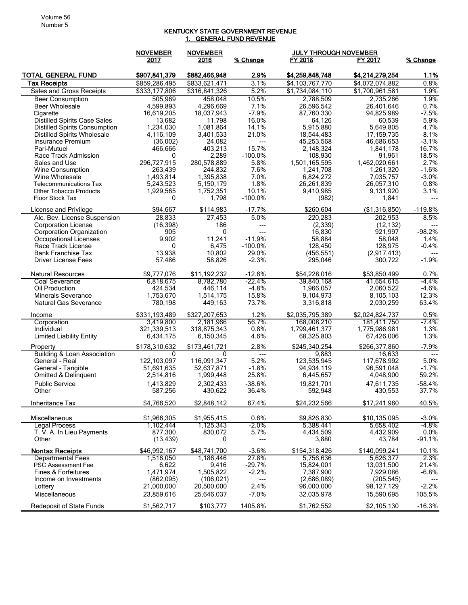## KENTUCKY STATE GOVERNMENT REVENUE 1. GENERAL FUND REVENUE

|                                                    | <b>NOVEMBER</b>          | <b>NOVEMBER</b>                 |                                  | <b>JULY THROUGH NOVEMBER</b> |                             |                                   |
|----------------------------------------------------|--------------------------|---------------------------------|----------------------------------|------------------------------|-----------------------------|-----------------------------------|
|                                                    | 2017                     | 2016                            | % Change                         | FY 2018                      | FY 2017                     | % Change                          |
| <b>TOTAL GENERAL FUND</b>                          | \$907,841,379            | \$882,466,948                   | 2.9%                             | \$4,259,848,748              | \$4,214,279,254             | 1.1%                              |
| <b>Tax Receipts</b>                                | \$859,286,495            | \$833,621,471                   | 3.1%                             | \$4,103,767,770              | \$4,072,074,882             | 0.8%                              |
| Sales and Gross Receipts                           | \$333,177,806            | \$316,841,326                   | 5.2%                             | \$1,734,084,110              | \$1,700,961,581             | 1.9%                              |
| <b>Beer Consumption</b>                            | 505,969                  | 458,048                         | 10.5%                            | 2,788,509                    | 2,735,266                   | 1.9%                              |
| <b>Beer Wholesale</b>                              | 4,599,893                | 4,296,669                       | 7.1%                             | 26,596,542                   | 26,401,646                  | 0.7%                              |
| Cigarette                                          | 16,619,205               | 18,037,943                      | $-7.9%$                          | 87,760,330                   | 94,825,989                  | $-7.5%$                           |
| <b>Distilled Spirits Case Sales</b>                | 13,682                   | 11,798                          | 16.0%                            | 64,126                       | 60,539                      | 5.9%                              |
| <b>Distilled Spirits Consumption</b>               | 1,234,030                | 1,081,864                       | 14.1%                            | 5,915,880                    | 5,649,805                   | 4.7%                              |
| <b>Distilled Spirits Wholesale</b>                 | 4,116,109                | 3,401,533                       | 21.0%                            | 18,544,483                   | 17,159,735                  | 8.1%<br>$-3.1%$                   |
| Insurance Premium<br>Pari-Mutuel                   | (36,002)<br>466,666      | 24,082<br>403,213               | ---<br>15.7%                     | 45,253,568<br>2,148,324      | 46,686,653<br>1,841,178     | 16.7%                             |
| Race Track Admission                               | 0                        | 2,289                           | $-100.0%$                        | 108,930                      | 91,961                      | 18.5%                             |
| Sales and Use                                      | 296,727,915              | 280,578,889                     | 5.8%                             | 1,501,165,595                | 1,462,020,661               | 2.7%                              |
| Wine Consumption                                   | 263,439                  | 244,832                         | 7.6%                             | 1,241,708                    | 1,261,320                   | $-1.6%$                           |
| Wine Wholesale                                     | 1,493,814                | 1,395,838                       | 7.0%                             | 6,824,272                    | 7,035,757                   | $-3.0%$                           |
| <b>Telecommunications Tax</b>                      | 5,243,523                | 5,150,179                       | 1.8%                             | 26,261,839                   | 26,057,310                  | 0.8%                              |
| <b>Other Tobacco Products</b>                      | 1,929,565                | 1,752,351                       | 10.1%                            | 9,410,985                    | 9,131,920                   | 3.1%                              |
| Floor Stock Tax                                    | 0                        | 1,798                           | $-100.0\%$                       | (982)                        | 1,841                       | $---$                             |
| License and Privilege                              | \$94,667                 | \$114,983                       | $-17.7%$                         | \$260,604                    | (\$1,316,850)               | $-119.8%$                         |
| Alc. Bev. License Suspension                       | 28,833                   | 27,453                          | 5.0%                             | 220,283                      | 202,953                     | 8.5%                              |
| <b>Corporation License</b>                         | (16, 398)                | 186                             | ---                              | (2, 339)                     | (12, 132)                   |                                   |
| <b>Corporation Organization</b>                    | 905                      | 0                               | $---$                            | 16,830                       | 921,997                     | $-98.2%$                          |
| <b>Occupational Licenses</b><br>Race Track License | 9,902<br>0               | 11.241<br>6,475                 | $-11.9%$<br>$-100.0%$            | 58,884                       | 58,048<br>128,975           | 1.4%<br>$-0.4%$                   |
| <b>Bank Franchise Tax</b>                          | 13,938                   | 10,802                          | 29.0%                            | 128,450<br>(456, 551)        | (2,917,413)                 | $\hspace{0.05cm} \dashrightarrow$ |
| <b>Driver License Fees</b>                         | 57,486                   | 58,826                          | $-2.3%$                          | 295,046                      | 300,722                     | $-1.9%$                           |
|                                                    |                          |                                 |                                  |                              |                             |                                   |
| <b>Natural Resources</b>                           | \$9,777,076              | \$11,192,232                    | $-12.6%$                         | \$54,228,016                 | \$53,850,499                | 0.7%                              |
| <b>Coal Severance</b><br>Oil Production            | 6,818,675                | 8,782,780<br>446,114            | $-22.4%$<br>$-4.8%$              | 39,840,168                   | 41,654,615                  | $-4.4%$<br>$-4.6%$                |
| <b>Minerals Severance</b>                          | 424,534<br>1,753,670     | 1,514,175                       | 15.8%                            | 1,966,057<br>9,104,973       | 2,060,522<br>8,105,103      | 12.3%                             |
| <b>Natural Gas Severance</b>                       | 780,198                  | 449,163                         | 73.7%                            | 3,316,818                    | 2,030,259                   | 63.4%                             |
|                                                    |                          |                                 |                                  |                              |                             |                                   |
| Income                                             | \$331,193,489            | \$327,207,653                   | 1.2%                             | \$2,035,795,389              | \$2,024,824,737             | 0.5%                              |
| Corporation                                        | 3,419,800                | 2,181,966                       | 56.7%                            | 168,008,210                  | 181,411,750                 | $-7.4\%$                          |
| Individual<br><b>Limited Liability Entity</b>      | 321,339,513<br>6,434,175 | 318,875,343<br>6,150,345        | 0.8%<br>4.6%                     | 1,799,461,377<br>68,325,803  | 1,775,986,981<br>67,426,006 | 1.3%<br>1.3%                      |
|                                                    |                          |                                 |                                  |                              |                             |                                   |
| Property<br><b>Building &amp; Loan Association</b> | \$178,310,632<br>0       | \$173.461.721<br>$\overline{0}$ | 2.8%<br>$\hspace{0.05cm} \ldots$ | \$245,340,254<br>9,883       | \$266,377,860<br>16,633     | $-7.9%$<br>$---$                  |
| General - Real                                     | 122,103,097              | 116,091,347                     | 5.2%                             | 123,535,945                  | 117,678,992                 | 5.0%                              |
| General - Tangible                                 | 51.691.635               | 52,637,871                      | $-1.8%$                          | 94,934,119                   | 96,591,048                  | $-1.7%$                           |
| Omitted & Delinquent                               | 2,514,816                | 1,999,448                       | 25.8%                            | 6,445,657                    | 4,048,900                   | 59.2%                             |
| <b>Public Service</b>                              | 1,413,829                | 2,302,433                       | $-38.6%$                         | 19,821,701                   | 47,611,735                  | $-58.4%$                          |
| Other                                              | 587,256                  | 430,622                         | 36.4%                            | 592,948                      | 430,553                     | 37.7%                             |
| Inheritance Tax                                    | \$4,766,520              | \$2,848,142                     | 67.4%                            | \$24,232,566                 | \$17,241,960                | 40.5%                             |
| Miscellaneous                                      | \$1,966,305              | \$1,955,415                     | 0.6%                             | \$9,826,830                  | \$10,135,095                | $-3.0\%$                          |
| Legal Process                                      | 1,102,444                | 1,125,343                       | -2.0%                            | 5,388,441                    | 5,658,402                   | -4.8%                             |
| T. V. A. In Lieu Payments                          | 877,300                  | 830,072                         | 5.7%                             | 4,434,509                    | 4,432,909                   | $0.0\%$                           |
| Other                                              | (13, 439)                | 0                               | ---                              | 3,880                        | 43,784                      | $-91.1%$                          |
| <b>Nontax Receipts</b>                             | \$46,992,167             | \$48,741,700                    | $-3.6%$                          | \$154,318,426                | \$140,099,241               | 10.1%                             |
| <b>Departmental Fees</b>                           | 1,516,050                | 1,186,446                       | 27.8%                            | 5,756,636                    | 5,626,377                   | 2.3%                              |
| <b>PSC Assessment Fee</b>                          | 6,622                    | 9,416                           | $-29.7%$                         | 15,824,001                   | 13,031,500                  | 21.4%                             |
| Fines & Forfeitures                                | 1,471,974                | 1,505,822                       | $-2.2%$                          | 7,387,900                    | 7,929,086                   | $-6.8%$                           |
| Income on Investments                              | (862,095)                | (106, 021)                      | ---                              | (2,686,089)                  | (205, 545)                  |                                   |
| Lottery                                            | 21,000,000               | 20,500,000                      | 2.4%                             | 96,000,000                   | 98,127,129                  | $-2.2%$                           |
| Miscellaneous                                      | 23,859,616               | 25,646,037                      | $-7.0%$                          | 32,035,978                   | 15,590,695                  | 105.5%                            |
| Redeposit of State Funds                           | \$1,562,717              | \$103,777                       | 1405.8%                          | \$1,762,552                  | \$2,105,130                 | $-16.3%$                          |